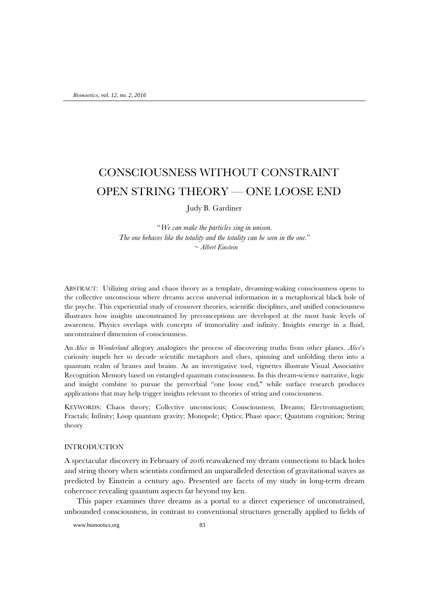# CONSCIOUSNESS WITHOUT CONSTRAINT OPEN STRING THEORY — ONE LOOSE END

Judy B. Gardiner

"*We can make the particles sing in unison.* The one behaves like the totality and the totality can be seen in the one." ~ *Albert Einstein*

ABSTRACT: Utilizing string and chaos theory as a template, dreaming-waking consciousness opens to the collective unconscious where dreams access universal information in a metaphorical black hole of the psyche. This experiential study of crossover theories, scientific disciplines, and unified consciousness illustrates how insights unconstrained by preconceptions are developed at the most basic levels of awareness. Physics overlaps with concepts of immortality and infinity. Insights emerge in a fluid, unconstrained dimension of consciousness.

An *Alice in Wonderland* allegory analogizes the process of discovering truths from other planes. *Alice*'s curiosity impels her to decode scientific metaphors and clues, spinning and unfolding them into a quantum realm of branes and brains. As an investigative tool, vignettes illustrate Visual Associative Recognition Memory based on entangled quantum consciousness. In this dream-science narrative, logic and insight combine to pursue the proverbial "one loose end," while surface research produces applications that may help trigger insights relevant to theories of string and consciousness.

KEYWORDS: Chaos theory; Collective unconscious; Consciousness; Dreams; Electromagnetism; Fractals; Infinity; Loop quantum gravity; Monopole; Optics; Phase space; Quantum cognition; String theory

# INTRODUCTION

A spectacular discovery in February of 2016 reawakened my dream connections to black holes and string theory when scientists confirmed an unparalleled detection of gravitational waves as predicted by Einstein a century ago. Presented are facets of my study in long-term dream coherence revealing quantum aspects far beyond my ken.

This paper examines three dreams as a portal to a direct experience of unconstrained, unbounded consciousness, in contrast to conventional structures generally applied to fields of

www.bionoetics.org 83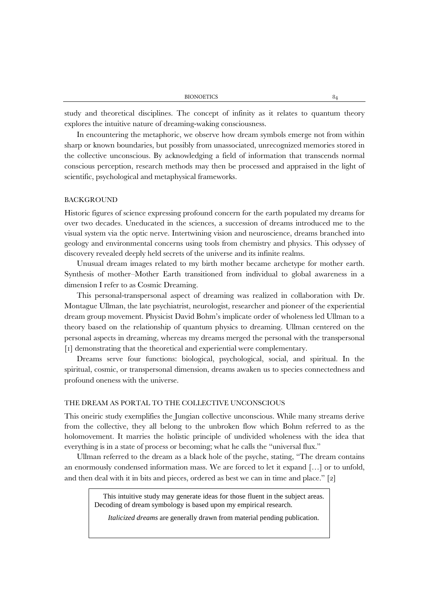study and theoretical disciplines. The concept of infinity as it relates to quantum theory explores the intuitive nature of dreaming-waking consciousness.

In encountering the metaphoric, we observe how dream symbols emerge not from within sharp or known boundaries, but possibly from unassociated, unrecognized memories stored in the collective unconscious. By acknowledging a field of information that transcends normal conscious perception, research methods may then be processed and appraised in the light of scientific, psychological and metaphysical frameworks.

# BACKGROUND

Historic figures of science expressing profound concern for the earth populated my dreams for over two decades. Uneducated in the sciences, a succession of dreams introduced me to the visual system via the optic nerve. Intertwining vision and neuroscience, dreams branched into geology and environmental concerns using tools from chemistry and physics. This odyssey of discovery revealed deeply held secrets of the universe and its infinite realms.

Unusual dream images related to my birth mother became archetype for mother earth. Synthesis of mother–Mother Earth transitioned from individual to global awareness in a dimension I refer to as Cosmic Dreaming.

This personal-transpersonal aspect of dreaming was realized in collaboration with Dr. Montague Ullman, the late psychiatrist, neurologist, researcher and pioneer of the experiential dream group movement. Physicist David Bohm's implicate order of wholeness led Ullman to a theory based on the relationship of quantum physics to dreaming. Ullman centered on the personal aspects in dreaming, whereas my dreams merged the personal with the transpersonal [1] demonstrating that the theoretical and experiential were complementary.

Dreams serve four functions: biological, psychological, social, and spiritual. In the spiritual, cosmic, or transpersonal dimension, dreams awaken us to species connectedness and profound oneness with the universe.

# THE DREAM AS PORTAL TO THE COLLECTIVE UNCONSCIOUS

This oneiric study exemplifies the Jungian collective unconscious. While many streams derive from the collective, they all belong to the unbroken flow which Bohm referred to as the holomovement. It marries the holistic principle of undivided wholeness with the idea that everything is in a state of process or becoming; what he calls the "universal flux."

Ullman referred to the dream as a black hole of the psyche, stating, "The dream contains an enormously condensed information mass. We are forced to let it expand […] or to unfold, and then deal with it in bits and pieces, ordered as best we can in time and place." [2]

This intuitive study may generate ideas for those fluent in the subject areas. Decoding of dream symbology is based upon my empirical research.

*Italicized dreams* are generally drawn from material pending publication.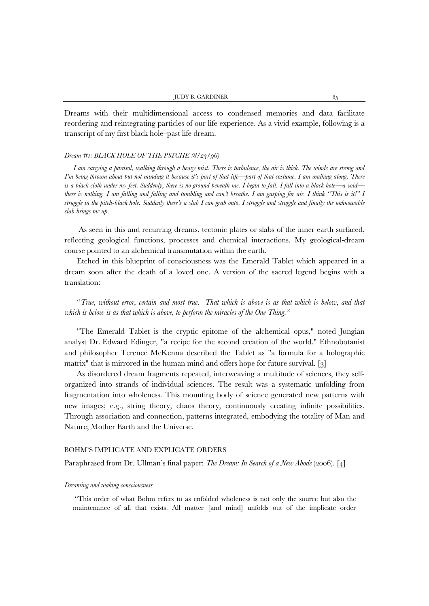Dreams with their multidimensional access to condensed memories and data facilitate reordering and reintegrating particles of our life experience. As a vivid example, following is a transcript of my first black hole–past life dream.

# *Dream #1: BLACK HOLE OF THE PSYCHE (8/23/96)*

*I am carrying a parasol, walking through a heavy mist. There is turbulence, the air is thick. The winds are strong and I'm being thrown about but not minding it because it's part of that life—part of that costume. I am walking along. There is a black cloth under my feet. Suddenly, there is no ground beneath me. I begin to fall. I fall into a black hole—a void there is nothing. I am falling and falling and tumbling and can't breathe. I am gasping for air. I think "This is it!" I struggle in the pitch-black hole. Suddenly there's a slab I can grab onto. I struggle and struggle and finally the unknowable slab brings me up.*

As seen in this and recurring dreams, tectonic plates or slabs of the inner earth surfaced, reflecting geological functions, processes and chemical interactions. My geological-dream course pointed to an alchemical transmutation within the earth.

Etched in this blueprint of consciousness was the Emerald Tablet which appeared in a dream soon after the death of a loved one. A version of the sacred legend begins with a translation:

"*True, without error, certain and most true. That which is above is as that which is below, and that which is below is as that which is above, to perform the miracles of the One Thing."*

"The Emerald Tablet is the cryptic epitome of the alchemical opus," noted Jungian analyst Dr. Edward Edinger, "a recipe for the second creation of the world." Ethnobotanist and philosopher Terence McKenna described the Tablet as "a formula for a holographic matrix" that is mirrored in the human mind and offers hope for future survival. [3]

As disordered dream fragments repeated, interweaving a multitude of sciences, they selforganized into strands of individual sciences. The result was a systematic unfolding from fragmentation into wholeness. This mounting body of science generated new patterns with new images; e.g., string theory, chaos theory, continuously creating infinite possibilities. Through association and connection, patterns integrated, embodying the totality of Man and Nature; Mother Earth and the Universe.

### BOHM'S IMPLICATE AND EXPLICATE ORDERS

Paraphrased from Dr. Ullman's final paper: *The Dream: In Search of a New Abode* (2006). [4]

### *Dreaming and waking consciousness*

"This order of what Bohm refers to as enfolded wholeness is not only the source but also the maintenance of all that exists. All matter [and mind] unfolds out of the implicate order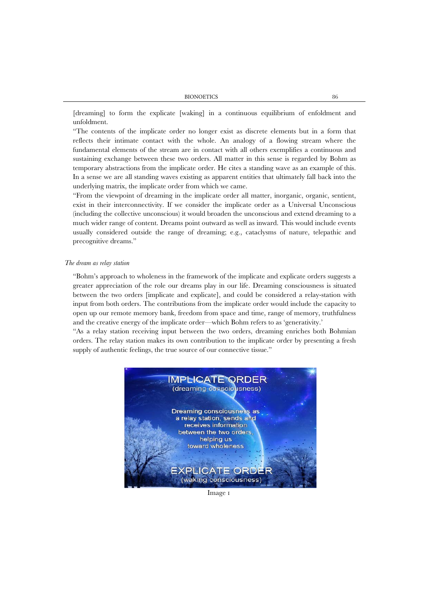[dreaming] to form the explicate [waking] in a continuous equilibrium of enfoldment and unfoldment.

"The contents of the implicate order no longer exist as discrete elements but in a form that reflects their intimate contact with the whole. An analogy of a flowing stream where the fundamental elements of the stream are in contact with all others exemplifies a continuous and sustaining exchange between these two orders. All matter in this sense is regarded by Bohm as temporary abstractions from the implicate order. He cites a standing wave as an example of this. In a sense we are all standing waves existing as apparent entities that ultimately fall back into the underlying matrix, the implicate order from which we came.

"From the viewpoint of dreaming in the implicate order all matter, inorganic, organic, sentient, exist in their interconnectivity. If we consider the implicate order as a Universal Unconscious (including the collective unconscious) it would broaden the unconscious and extend dreaming to a much wider range of content. Dreams point outward as well as inward. This would include events usually considered outside the range of dreaming; e.g., cataclysms of nature, telepathic and precognitive dreams."

# *The dream as relay station*

"Bohm's approach to wholeness in the framework of the implicate and explicate orders suggests a greater appreciation of the role our dreams play in our life. Dreaming consciousness is situated between the two orders [implicate and explicate], and could be considered a relay-station with input from both orders. The contributions from the implicate order would include the capacity to open up our remote memory bank, freedom from space and time, range of memory, truthfulness and the creative energy of the implicate order—which Bohm refers to as 'generativity.'

"As a relay station receiving input between the two orders, dreaming enriches both Bohmian orders. The relay station makes its own contribution to the implicate order by presenting a fresh supply of authentic feelings, the true source of our connective tissue."



Image 1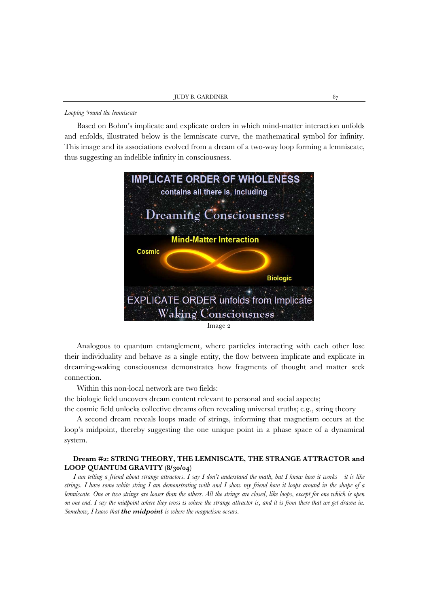### *Looping 'round the lemniscate*

Based on Bohm's implicate and explicate orders in which mind-matter interaction unfolds and enfolds, illustrated below is the lemniscate curve, the mathematical symbol for infinity. This image and its associations evolved from a dream of a two-way loop forming a lemniscate, thus suggesting an indelible infinity in consciousness.



Image 2

Analogous to quantum entanglement, where particles interacting with each other lose their individuality and behave as a single entity, the flow between implicate and explicate in dreaming-waking consciousness demonstrates how fragments of thought and matter seek connection.

Within this non-local network are two fields:

the biologic field uncovers dream content relevant to personal and social aspects;

the cosmic field unlocks collective dreams often revealing universal truths; e.g., string theory

A second dream reveals loops made of strings, informing that magnetism occurs at the loop's midpoint, thereby suggesting the one unique point in a phase space of a dynamical system.

# **Dream #2: STRING THEORY, THE LEMNISCATE, THE STRANGE ATTRACTOR and LOOP QUANTUM GRAVITY (8/30/04)**

*I am telling a friend about strange attractors. I say I don't understand the math, but I know how it works—it is like strings. I have some white string I am demonstrating with and I show my friend how it loops around in the shape of a lemniscate. One or two strings are looser than the others. All the strings are closed, like loops, except for one which is open on one end. I say the midpoint where they cross is where the strange attractor is, and it is from there that we get drawn in. Somehow, I know that the midpoint is where the magnetism occurs.*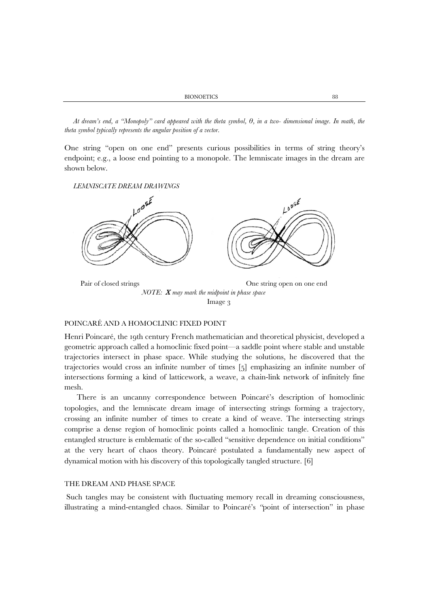*At dream's end, a "Monopoly" card appeared with the theta symbol, θ, in a two- dimensional image. In math, the theta symbol typically represents the angular position of a vector.*

One string "open on one end" presents curious possibilities in terms of string theory's endpoint; e.g., a loose end pointing to a monopole. The lemniscate images in the dream are shown below.

*LEMNISCATE DREAM DRAWINGS*



Image 3

### POINCARÉ AND A HOMOCLINIC FIXED POINT

Henri Poincaré, the 19th century French mathematician and theoretical physicist, developed a geometric approach called a homoclinic fixed point—a saddle point where stable and unstable trajectories intersect in phase space. While studying the solutions, he discovered that the trajectories would cross an infinite number of times [5] emphasizing an infinite number of intersections forming a kind of latticework, a weave, a chain-link network of infinitely fine mesh.

There is an uncanny correspondence between Poincaré's description of homoclinic topologies, and the lemniscate dream image of intersecting strings forming a trajectory, crossing an infinite number of times to create a kind of weave. The intersecting strings comprise a dense region of homoclinic points called a homoclinic tangle. Creation of this entangled structure is emblematic of the so-called "sensitive dependence on initial conditions" at the very heart of chaos theory. Poincaré postulated a fundamentally new aspect of dynamical motion with his discovery of this topologically tangled structure. [6]

# THE DREAM AND PHASE SPACE

Such tangles may be consistent with fluctuating memory recall in dreaming consciousness, illustrating a mind-entangled chaos. Similar to Poincaré's *"*point of intersection" in phase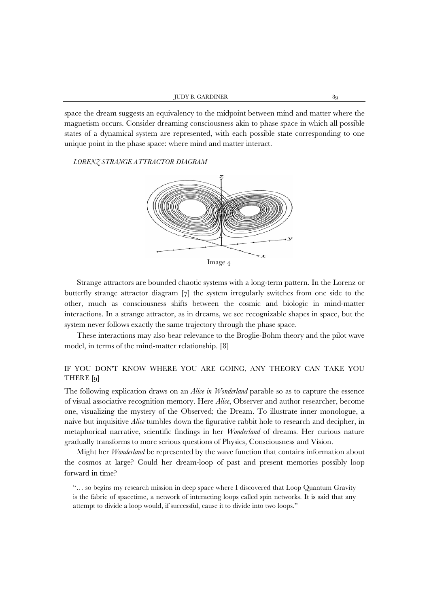space the dream suggests an equivalency to the midpoint between mind and matter where the magnetism occurs. Consider dreaming consciousness akin to phase space in which all possible states of a dynamical system are represented, with each possible state corresponding to one unique point in the phase space: where mind and matter interact.

# *LORENZ STRANGE ATTRACTOR DIAGRAM*



Strange attractors are bounded chaotic systems with a long-term pattern. In the Lorenz or butterfly strange attractor diagram [7] the system irregularly switches from one side to the other, much as consciousness shifts between the cosmic and biologic in mind-matter interactions. In a strange attractor, as in dreams, we see recognizable shapes in space, but the system never follows exactly the same trajectory through the phase space.

These interactions may also bear relevance to the Broglie-Bohm theory and the pilot wave model, in terms of the mind-matter relationship. [8]

# IF YOU DON'T KNOW WHERE YOU ARE GOING, ANY THEORY CAN TAKE YOU THERE [9]

The following explication draws on an *Alice in Wonderland* parable so as to capture the essence of visual associative recognition memory. Here *Alice*, Observer and author researcher, become one, visualizing the mystery of the Observed; the Dream. To illustrate inner monologue, a naive but inquisitive *Alice* tumbles down the figurative rabbit hole to research and decipher, in metaphorical narrative, scientific findings in her *Wonderland* of dreams. Her curious nature gradually transforms to more serious questions of Physics, Consciousness and Vision.

Might her *Wonderland* be represented by the wave function that contains information about the cosmos at large? Could her dream-loop of past and present memories possibly loop forward in time?

"… so begins my research mission in deep space where I discovered that Loop Quantum Gravity is the fabric of spacetime, a network of interacting loops called spin networks. It is said that any attempt to divide a loop would, if successful, cause it to divide into two loops."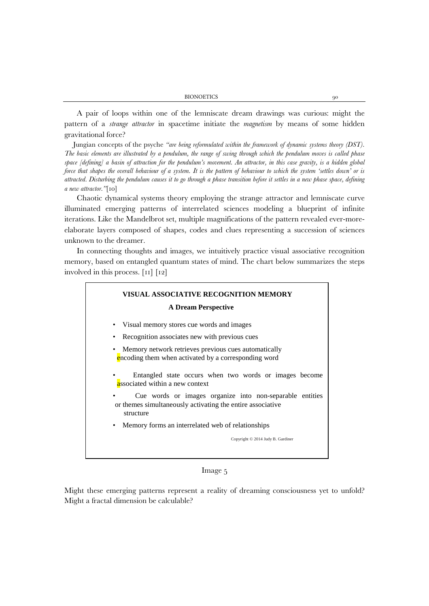A pair of loops within one of the lemniscate dream drawings was curious: might the pattern of a *strange attractor* in spacetime initiate the *magnetism* by means of some hidden gravitational force?

Jungian concepts of the psyche *"are being reformulated within the framework of dynamic systems theory (DST). The basic elements are illustrated by a pendulum, the range of swing through which the pendulum moves is called phase space [defining] a basin of attraction for the pendulum's movement. An attractor, in this case gravity, is a hidden global force that shapes the overall behaviour of a system. It is the pattern of behaviour to which the system 'settles down' or is attracted. Disturbing the pendulum causes it to go through a phase transition before it settles in a new phase space, defining a new attractor."*[10]

Chaotic dynamical systems theory employing the strange attractor and lemniscate curve illuminated emerging patterns of interrelated sciences modeling a blueprint of infinite iterations. Like the Mandelbrot set, multiple magnifications of the pattern revealed ever-moreelaborate layers composed of shapes, codes and clues representing a succession of sciences unknown to the dreamer.

In connecting thoughts and images, we intuitively practice visual associative recognition memory, based on entangled quantum states of mind. The chart below summarizes the steps involved in this process. [11] [12]

# **VISUAL ASSOCIATIVE RECOGNITION MEMORY A Dream Perspective**

- Visual memory stores cue words and images
- Recognition associates new with previous cues
- Memory network retrieves previous cues automatically encoding them when activated by a corresponding word
- Entangled state occurs when two words or images become associated within a new context
- Cue words or images organize into non-separable entities or themes simultaneously activating the entire associative structure
- Memory forms an interrelated web of relationships

Copyright © 2014 Judy B. Gardiner

# Image 5

Might these emerging patterns represent a reality of dreaming consciousness yet to unfold? Might a fractal dimension be calculable?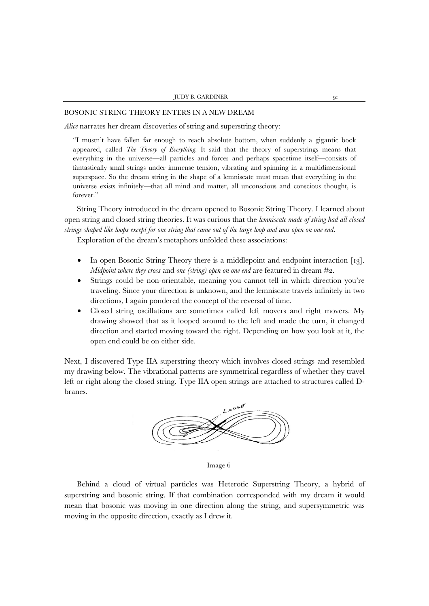# BOSONIC STRING THEORY ENTERS IN A NEW DREAM

*Alice* narrates her dream discoveries of string and superstring theory:

"I mustn't have fallen far enough to reach absolute bottom, when suddenly a gigantic book appeared, called *The Theory of Everything*. It said that the theory of superstrings means that everything in the universe—all particles and forces and perhaps spacetime itself—consists of fantastically small strings under immense tension, vibrating and spinning in a multidimensional superspace. So the dream string in the shape of a lemniscate must mean that everything in the universe exists infinitely*—*that all mind and matter, all unconscious and conscious thought, is forever."

String Theory introduced in the dream opened to Bosonic String Theory. I learned about open string and closed string theories. It was curious that the *lemniscate made of string had all closed strings shaped like loops except for one string that came out of the large loop and was open on one end.*

Exploration of the dream's metaphors unfolded these associations:

- In open Bosonic String Theory there is a middlepoint and endpoint interaction [13]. *Midpoint where they cross* and *one (string) open on one end* are featured in dream #2.
- Strings could be non-orientable, meaning you cannot tell in which direction you're traveling. Since your direction is unknown, and the lemniscate travels infinitely in two directions, I again pondered the concept of the reversal of time.
- Closed string oscillations are sometimes called left movers and right movers. My drawing showed that as it looped around to the left and made the turn, it changed direction and started moving toward the right. Depending on how you look at it, the open end could be on either side.

Next, I discovered Type IIA superstring theory which involves closed strings and resembled my drawing below. The vibrational patterns are symmetrical regardless of whether they travel left or right along the closed string. Type IIA open strings are attached to structures called Dbranes.



Image 6

Behind a cloud of virtual particles was Heterotic Superstring Theory, a hybrid of superstring and bosonic string. If that combination corresponded with my dream it would mean that bosonic was moving in one direction along the string, and supersymmetric was moving in the opposite direction, exactly as I drew it.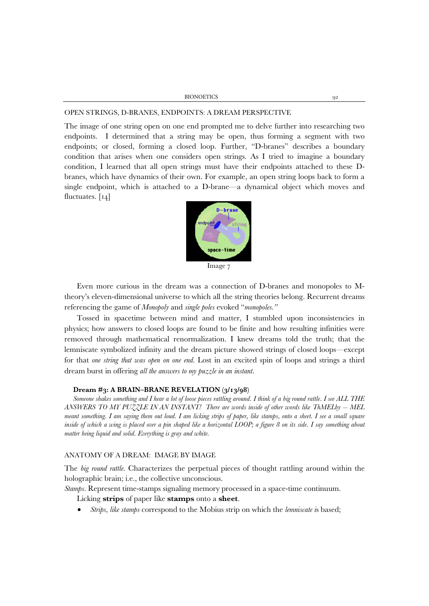## OPEN STRINGS, D-BRANES, ENDPOINTS: A DREAM PERSPECTIVE

The image of one string open on one end prompted me to delve further into researching two endpoints. I determined that a string may be open, thus forming a segment with two endpoints; or closed, forming a closed loop. Further, "D-branes" describes a boundary condition that arises when one considers open strings. As I tried to imagine a boundary condition, I learned that all open strings must have their endpoints attached to these Dbranes, which have dynamics of their own. For example, an open string loops back to form a single endpoint, which is attached to a D-brane—a dynamical object which moves and fluctuates. [14]



Image 7

Even more curious in the dream was a connection of D-branes and monopoles to Mtheory's eleven-dimensional universe to which all the string theories belong. Recurrent dreams referencing the game of *Monopoly* and *single poles* evoked "*monopoles."*

Tossed in spacetime between mind and matter, I stumbled upon inconsistencies in physics; how answers to closed loops are found to be finite and how resulting infinities were removed through mathematical renormalization. I knew dreams told the truth; that the lemniscate symbolized infinity and the dream picture showed strings of closed loops*—*except for that *one string that was open on one end.* Lost in an excited spin of loops and strings a third dream burst in offering *all the answers to my puzzle in an instant*.

## **Dream #3: A BRAIN–BRANE REVELATION (3/13/98)**

*Someone shakes something and I hear a lot of loose pieces rattling around. I think of a big round rattle. I see ALL THE ANSWERS TO MY PUZZLE IN AN INSTANT! There are words inside of other words like ThMELby -- MEL meant something. I am saying them out loud. I am licking strips of paper, like stamps, onto a sheet. I see a small square inside of which a wing is placed over a pin shaped like a horizontal LOOP; a figure 8 on its side. I say something about matter being liquid and solid. Everything is gray and white.* 

# ANATOMY OF A DREAM: IMAGE BY IMAGE

The *big round rattle.* Characterizes the perpetual pieces of thought rattling around within the holographic brain; i.e., the collective unconscious.

*Stamps.* Represent time-stamps signaling memory processed in a space-time continuum.

Licking **strips** of paper like **stamps** onto a **sheet**.

• *Strips, like stamps* correspond to the Mobius strip on which the *lemniscate i*s based;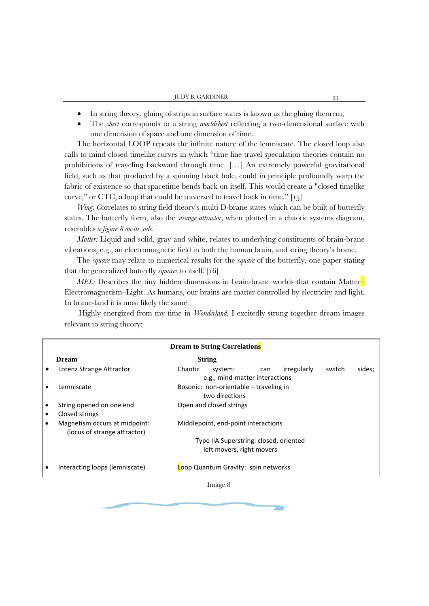- In string theory, gluing of strips in surface states is known as the gluing theorem;
- The *sheet* corresponds to a string *worldsheet* reflecting a two-dimensional surface with one dimension of space and one dimension of time.

The horizontal LOOP repeats the infinite nature of the lemniscate. The closed loop also calls to mind closed timelike curves in which "time line travel speculation theories contain no prohibitions of traveling backward through time. […] An extremely powerful gravitational field, such as that produced by a spinning black hole, could in principle profoundly warp the fabric of existence so that spacetime bends back on itself. This would create a "closed timelike curve," or CTC, a loop that could be traversed to travel back in time." [15]

*Wing: Correlates to string field theory's multi D-brane states which can be built of butterfly* states. The butterfly form, also the *strange attractor*, when plotted in a chaotic systems diagram, resembles *a figure 8 on its side*.

*Matter:* Liquid and solid, gray and white, relates to underlying constituents of brain-brane vibrations, e.g., an electromagnetic field in both the human brain, and string theory's brane.

The *square* may relate to numerical results for the *square* of the butterfly, one paper stating that the generalized butterfly *squares* to itself. [16]

*MEL:* Describes the tiny hidden dimensions in brain-brane worlds that contain Matter-Electromagnetism–Light. As humans, our brains are matter controlled by electricity and light. In brane-land it is most likely the same.

Highly energized from my time in *Wonderland*, I excitedly strung together dream images relevant to string theory:

|   |                                                               | <b>Dream to String Correlations</b>                                                            |  |  |
|---|---------------------------------------------------------------|------------------------------------------------------------------------------------------------|--|--|
|   | <b>Dream</b>                                                  | <b>String</b>                                                                                  |  |  |
|   | Lorenz Strange Attractor                                      | irregularly<br>sides;<br>Chaotic<br>switch<br>system:<br>can<br>e.g., mind-matter interactions |  |  |
|   | Lemniscate                                                    | Bosonic: non-orientable – traveling in<br>two directions                                       |  |  |
|   | String opened on one end                                      | Open and closed strings                                                                        |  |  |
| ٠ | Closed strings                                                |                                                                                                |  |  |
|   | Magnetism occurs at midpoint:<br>(locus of strange attractor) | Middlepoint, end-point interactions                                                            |  |  |
|   |                                                               | Type IIA Superstring: closed, oriented                                                         |  |  |
|   |                                                               | left movers, right movers                                                                      |  |  |
|   | Interacting loops (lemniscate)                                | Loop Quantum Gravity: spin networks                                                            |  |  |
|   |                                                               |                                                                                                |  |  |

Image 8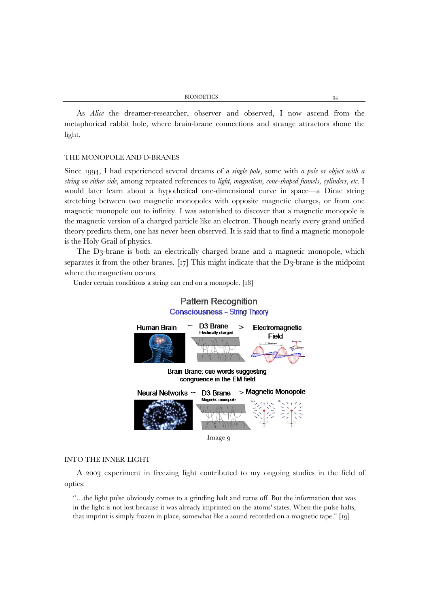| <b>BIONOETICS</b> |  |
|-------------------|--|
|                   |  |

As *Alice* the dreamer-researcher, observer and observed, I now ascend from the metaphorical rabbit hole, where brain-brane connections and strange attractors shone the light.

### THE MONOPOLE AND D-BRANES

Since 1994, I had experienced several dreams of *a single pole,* some with *a pole or object with a string on either side,* among repeated references to *light, magnetism, cone-shaped funnels, cylinders, etc*. I would later learn about a hypothetical one-dimensional curve in space—a Dirac string stretching between two magnetic monopoles with opposite magnetic charges, or from one magnetic monopole out to infinity. I was astonished to discover that a magnetic monopole is the magnetic version of a charged particle like an electron. Though nearly every grand unified theory predicts them, one has never been observed. It is said that to find a magnetic monopole is the Holy Grail of physics.

The D3-brane is both an electrically charged brane and a magnetic monopole, which separates it from the other branes.  $\lceil 17 \rceil$  This might indicate that the D3-brane is the midpoint where the magnetism occurs.

Under certain conditions a string can end on a monopole. [18]



# INTO THE INNER LIGHT

A 2003 experiment in freezing light contributed to my ongoing studies in the field of optics:

"…the light pulse obviously comes to a grinding halt and turns off. But the information that was in the light is not lost because it was already imprinted on the atoms' states. When the pulse halts, that imprint is simply frozen in place, somewhat like a sound recorded on a magnetic tape." [19]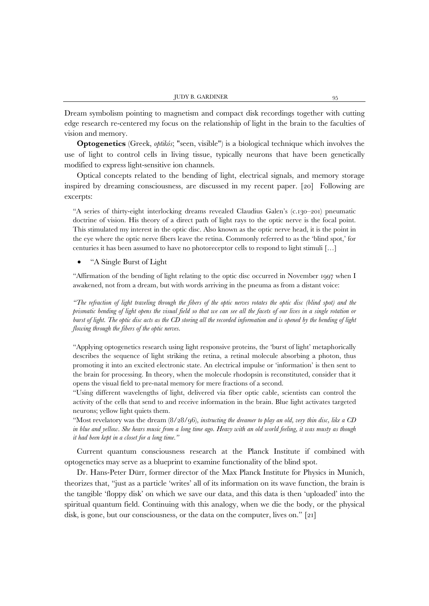Dream symbolism pointing to magnetism and compact disk recordings together with cutting edge research re-centered my focus on the relationship of light in the brain to the faculties of vision and memory.

**Optogenetics** (Greek, *optikós*; "seen, visible") is a biological technique which involves the use of light to control cells in living tissue, typically neurons that have been genetically modified to express light-sensitive ion channels.

Optical concepts related to the bending of light, electrical signals, and memory storage inspired by dreaming consciousness, are discussed in my recent paper. [20] Following are excerpts:

"A series of thirty-eight interlocking dreams revealed Claudius Galen's (c.130–201) pneumatic doctrine of vision. His theory of a direct path of light rays to the optic nerve is the focal point. This stimulated my interest in the optic disc. Also known as the optic nerve head, it is the point in the eye where the optic nerve fibers leave the retina. Commonly referred to as the 'blind spot,' for centuries it has been assumed to have no photoreceptor cells to respond to light stimuli […]

### • "A Single Burst of Light

"Affirmation of the bending of light relating to the optic disc occurred in November 1997 when I awakened, not from a dream, but with words arriving in the pneuma as from a distant voice:

*"The refraction of light traveling through the fibers of the optic nerves rotates the optic disc (blind spot) and the prismatic bending of light opens the visual field so that we can see all the facets of our lives in a single rotation or burst of light. The optic disc acts as the CD storing all the recorded information and is opened by the bending of light flowing through the fibers of the optic nerves.* 

"Applying optogenetics research using light responsive proteins, the 'burst of light' metaphorically describes the sequence of light striking the retina, a retinal molecule absorbing a photon, thus promoting it into an excited electronic state. An electrical impulse or 'information' is then sent to the brain for processing. In theory, when the molecule rhodopsin is reconstituted, consider that it opens the visual field to pre-natal memory for mere fractions of a second.

"Using different wavelengths of light, delivered via fiber optic cable, scientists can control the activity of the cells that send to and receive information in the brain. Blue light activates targeted neurons; yellow light quiets them.

"Most revelatory was the dream (8/28/96), *instructing the dreamer to play an old, very thin disc, like a CD in blue and yellow. She hears music from a long time ago. Heavy with an old world feeling, it was musty as though it had been kept in a closet for a long time."*

Current quantum consciousness research at the Planck Institute if combined with optogenetics may serve as a blueprint to examine functionality of the blind spot.

Dr. Hans-Peter Dürr, former director of the Max Planck Institute for Physics in Munich, theorizes that, "just as a particle 'writes' all of its information on its wave function, the brain is the tangible 'floppy disk' on which we save our data, and this data is then 'uploaded' into the spiritual quantum field. Continuing with this analogy, when we die the body, or the physical disk, is gone, but our consciousness, or the data on the computer, lives on." [21]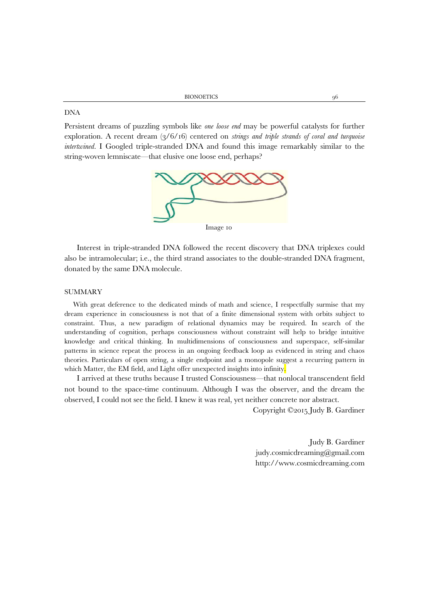### DNA

Persistent dreams of puzzling symbols like *one loose end* may be powerful catalysts for further exploration*.* A recent dream (3/6/16) centered on *strings and triple strands of coral and turquoise intertwined*. I Googled triple-stranded DNA and found this image remarkably similar to the string-woven lemniscate—that elusive one loose end, perhaps?



Interest in triple-stranded DNA followed the recent discovery that DNA triplexes could also be intramolecular; i.e., the third strand associates to the double-stranded DNA fragment, donated by the same DNA molecule.

# SUMMARY

With great deference to the dedicated minds of math and science, I respectfully surmise that my dream experience in consciousness is not that of a finite dimensional system with orbits subject to constraint. Thus, a new paradigm of relational dynamics may be required. In search of the understanding of cognition, perhaps consciousness without constraint will help to bridge intuitive knowledge and critical thinking. In multidimensions of consciousness and superspace, self-similar patterns in science repeat the process in an ongoing feedback loop as evidenced in string and chaos theories. Particulars of open string, a single endpoint and a monopole suggest a recurring pattern in which Matter, the EM field, and Light offer unexpected insights into infinity.

I arrived at these truths because I trusted Consciousness—that nonlocal transcendent field not bound to the space-time continuum. Although I was the observer, and the dream the observed, I could not see the field. I knew it was real, yet neither concrete nor abstract.

Copyright ©2015 Judy B. Gardiner

Judy B. Gardiner judy.cosmicdreaming@gmail.com http://www.cosmicdreaming.com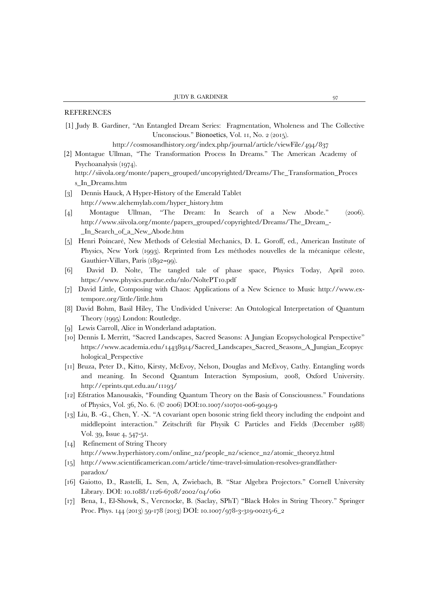# REFERENCES

[s\\_In\\_Dreams.htm](http://siivola.org/monte/papers_grouped/uncopyrighted/Dreams/The_Transformation_Process_In_Dreams.htm)

[1] Judy B. Gardiner, ''An Entangled Dream Series: Fragmentation, Wholeness and The Collective Unconscious.'' Bionoetics, Vol. 11, No. 2 (2015).

[http://cosmosandhistory.org/index.php/journal/article/viewFi](http://cosmosandhistory.org/index.php/journal/article/viewFile/494/837)le/494/837

- [2] Montague Ullman, ''The Transformation Process In Dreams.'' The American Academy of Psychoanalysis (1974). [http://siivola.org/monte/papers\\_grouped/uncopyrighted/Dreams/The\\_Transformation\\_Proces](http://siivola.org/monte/papers_grouped/uncopyrighted/Dreams/The_Transformation_Process_In_Dreams.htm)
- [3] Dennis Hauck, A Hyper-History of the Emerald Tablet [http://www.alchemylab.com/hyper\\_history.htm](http://www.alchemylab.com/hyper_history.htm)
- [4] Montague Ullman, ''The Dream: In Search of a New Abode.'' (2006). [http://www.siivola.org/monte/papers\\_grouped/copyrighted/Dreams/The\\_Dream\\_-](http://www.siivola.org/monte/papers_grouped/copyrighted/Dreams/The_Dream_-_In_Search_of_a_New_Abode.htm) [\\_In\\_Search\\_of\\_a\\_New\\_Abode.htm](http://www.siivola.org/monte/papers_grouped/copyrighted/Dreams/The_Dream_-_In_Search_of_a_New_Abode.htm)
- [5] Henri Poincaré, New Methods of Celestial Mechanics, D. L. Goroff, ed., American Institute of Physics, New York (1993). Reprinted from Les méthodes nouvelles de la mécanique céleste, Gauthier-Villars, Paris (1892–99).
- [6] David D. Nolte, The tangled tale of phase space, Physics Today, April 2010. <https://www.physics.purdue.edu/nlo/NoltePT10.pdf>
- [7] David Little, Composing with Chaos: Applications of a New Science to Music [http://www.ex](http://www.ex-tempore.org/little/little.htm)[tempore.org/little/little.htm](http://www.ex-tempore.org/little/little.htm)
- [8] David Bohm, Basil Hiley, The Undivided Universe: An Ontological Interpretation of Quantum Theory (1995) London: Routledge.
- [9] Lewis Carroll, Alice in Wonderland adaptation.
- [10] Dennis L Merritt, "Sacred Landscapes, Sacred Seasons: A Jungian Ecopsychological Perspective" [https://www.academia.edu/14438914/Sacred\\_Landscapes\\_Sacred\\_Seasons\\_A\\_Jungian\\_Ecopsyc](https://www.academia.edu/14438914/Sacred_Landscapes_Sacred_Seasons_A_Jungian_Ecopsychological_Perspective) [hological\\_Perspective](https://www.academia.edu/14438914/Sacred_Landscapes_Sacred_Seasons_A_Jungian_Ecopsychological_Perspective)
- [11] Bruza, Peter D., Kitto, Kirsty, McEvoy, Nelson, Douglas and McEvoy, Cathy. Entangling words and meaning. In Second Quantum Interaction Symposium, 2008, Oxford University. <http://eprints.qut.edu.au/11193/>
- [12] Efstratios Manousakis, "Founding Quantum Theory on the Basis of Consciousness." Foundations of Physics, Vol. 36, No. 6. (© 2006) DOI:10.1007/s10701-006-9049-9
- [13] Liu, B. -G., Chen, Y. -X. ''A covariant open bosonic string field theory including the endpoint and middlepoint interaction.'' [Zeitschrift für Physik C Particles and Fields](http://link.springer.com/journal/288) (December 1988) Vol. 39, [Issue](http://link.springer.com/journal/288/39/4/page/1) 4, 547-51.
- [14] Refinement of String Theory [http://www.hyperhistory.com/online\\_n2/people\\_n2/science\\_n2/atomic\\_theory2.html](http://www.hyperhistory.com/online_n2/people_n2/science_n2/atomic_theory2.html)
- [15] [http://www.scientificamerican.com/article/time-travel-simulation-resolves-grandfather](http://www.scientificamerican.com/article/time-travel-simulation-resolves-grandfather-paradox/)[paradox/](http://www.scientificamerican.com/article/time-travel-simulation-resolves-grandfather-paradox/)
- [16] [Gaiotto,](http://arxiv.org/find/hep-th/1/au:+Gaiotto_D/0/1/0/all/0/1) D., [Rastelli,](http://arxiv.org/find/hep-th/1/au:+Rastelli_L/0/1/0/all/0/1) L. [Sen,](http://arxiv.org/find/hep-th/1/au:+Sen_A/0/1/0/all/0/1) A, [Zwiebach,](http://arxiv.org/find/hep-th/1/au:+Zwiebach_B/0/1/0/all/0/1) B. ''Star Algebra Projectors.'' Cornell University Library. DOI: 10.1088/1126-6708/2002/04/060
- [17] Bena, I., El-Showk, S., Vercnocke, B. (Saclay, SPhT) ''Black Holes in String Theory.'' Springer Proc. Phys. 144 (2013) 59-178 (2013) DOI: 10.1007/978-3-319-00215-6\_2